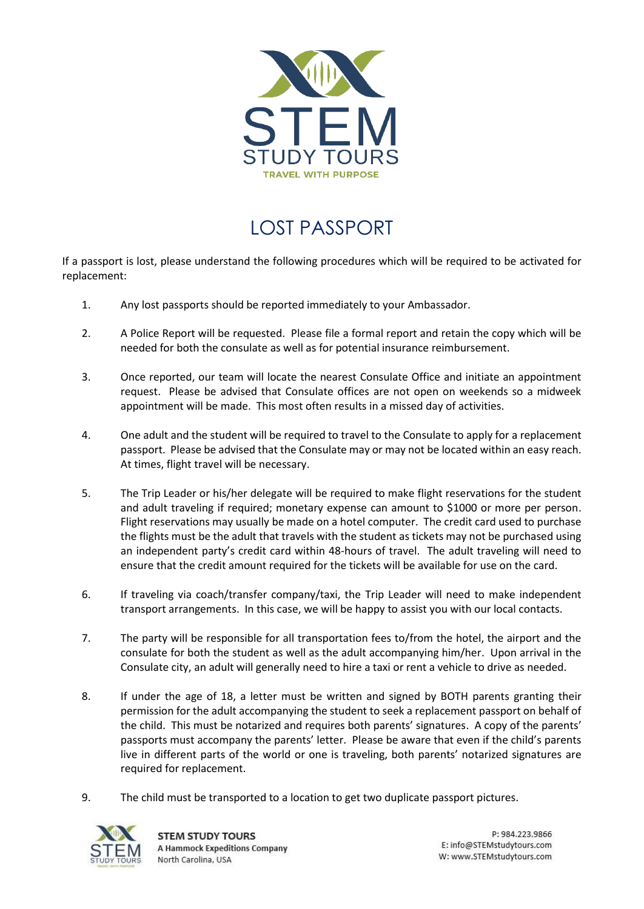

## LOST PASSPORT

If a passport is lost, please understand the following procedures which will be required to be activated for replacement:

- 1. Any lost passports should be reported immediately to your Ambassador.
- 2. A Police Report will be requested. Please file a formal report and retain the copy which will be needed for both the consulate as well as for potential insurance reimbursement.
- 3. Once reported, our team will locate the nearest Consulate Office and initiate an appointment request. Please be advised that Consulate offices are not open on weekends so a midweek appointment will be made. This most often results in a missed day of activities.
- 4. One adult and the student will be required to travel to the Consulate to apply for a replacement passport. Please be advised that the Consulate may or may not be located within an easy reach. At times, flight travel will be necessary.
- 5. The Trip Leader or his/her delegate will be required to make flight reservations for the student and adult traveling if required; monetary expense can amount to \$1000 or more per person. Flight reservations may usually be made on a hotel computer. The credit card used to purchase the flights must be the adult that travels with the student as tickets may not be purchased using an independent party's credit card within 48-hours of travel. The adult traveling will need to ensure that the credit amount required for the tickets will be available for use on the card.
- 6. If traveling via coach/transfer company/taxi, the Trip Leader will need to make independent transport arrangements. In this case, we will be happy to assist you with our local contacts.
- 7. The party will be responsible for all transportation fees to/from the hotel, the airport and the consulate for both the student as well as the adult accompanying him/her. Upon arrival in the Consulate city, an adult will generally need to hire a taxi or rent a vehicle to drive as needed.
- 8. If under the age of 18, a letter must be written and signed by BOTH parents granting their permission for the adult accompanying the student to seek a replacement passport on behalf of the child. This must be notarized and requires both parents' signatures. A copy of the parents' passports must accompany the parents' letter. Please be aware that even if the child's parents live in different parts of the world or one is traveling, both parents' notarized signatures are required for replacement.
- 9. The child must be transported to a location to get two duplicate passport pictures.



P: 984.223.9866 E: info@STEMstudytours.com W: www.STEMstudytours.com